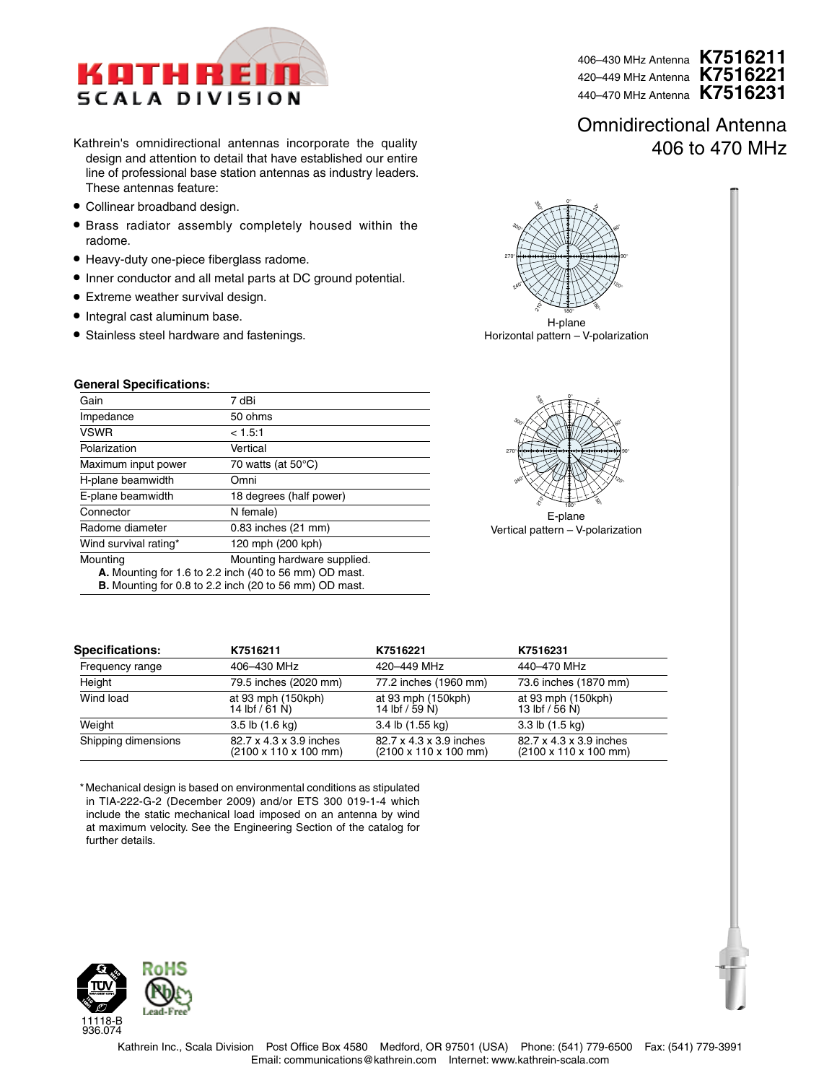

- Kathrein's omnidirectional antennas incorporate the quality design and attention to detail that have established our entire line of professional base station antennas as industry leaders. These antennas feature:
- Collinear broadband design.
- Brass radiator assembly completely housed within the radome.
- Heavy-duty one-piece fiberglass radome.
- Inner conductor and all metal parts at DC ground potential.
- Extreme weather survival design.
- Integral cast aluminum base.
- Stainless steel hardware and fastenings.

### **General Specifications:**

| Gain                                                                                                                                                               | 7 dBi                        |  |
|--------------------------------------------------------------------------------------------------------------------------------------------------------------------|------------------------------|--|
| Impedance                                                                                                                                                          | 50 ohms                      |  |
| <b>VSWR</b>                                                                                                                                                        | < 1.5.1                      |  |
| Polarization                                                                                                                                                       | Vertical                     |  |
| Maximum input power                                                                                                                                                | 70 watts (at $50^{\circ}$ C) |  |
| H-plane beamwidth                                                                                                                                                  | Omni                         |  |
| E-plane beamwidth                                                                                                                                                  | 18 degrees (half power)      |  |
| Connector                                                                                                                                                          | N female)                    |  |
| Radome diameter                                                                                                                                                    | 0.83 inches (21 mm)          |  |
| Wind survival rating*                                                                                                                                              | 120 mph (200 kph)            |  |
| Mounting hardware supplied.<br>Mounting<br>A. Mounting for 1.6 to 2.2 inch (40 to 56 mm) OD mast.<br><b>B.</b> Mounting for 0.8 to 2.2 inch (20 to 56 mm) OD mast. |                              |  |
|                                                                                                                                                                    |                              |  |

0o  $\mathring{\mathcal{S}}$ 60<sup>o</sup> 90o  $7200$  $50^{\circ}$  $\tilde{\mathcal{E}}$ 180o 240<sup>o</sup>  $270^\circ$  $30<sub>0</sub>$ 330o 10 30

H-plane Horizontal pattern – V-polarization



E-plane Vertical pattern – V-polarization

| <b>Specifications:</b> | K7516211                                                             | K7516221                                                             | K7516231                                                             |
|------------------------|----------------------------------------------------------------------|----------------------------------------------------------------------|----------------------------------------------------------------------|
| Frequency range        | 406-430 MHz                                                          | 420-449 MHz                                                          | 440-470 MHz                                                          |
| Height                 | 79.5 inches (2020 mm)                                                | 77.2 inches (1960 mm)                                                | 73.6 inches (1870 mm)                                                |
| Wind load              | at 93 mph (150kph)<br>14 lbf $/ 61 N$                                | at 93 mph (150kph)<br>14 lbf / 59 N)                                 | at 93 mph (150kph)<br>13 lbf / 56 N)                                 |
| Weight                 | $3.5$ lb $(1.6$ kg)                                                  | 3.4 lb (1.55 kg)                                                     | $3.3$ lb $(1.5$ kg)                                                  |
| Shipping dimensions    | 82.7 x 4.3 x 3.9 inches<br>$(2100 \times 110 \times 100 \text{ mm})$ | 82.7 x 4.3 x 3.9 inches<br>$(2100 \times 110 \times 100 \text{ mm})$ | 82.7 x 4.3 x 3.9 inches<br>$(2100 \times 110 \times 100 \text{ mm})$ |

\* Mechanical design is based on environmental conditions as stipulated in TIA-222-G-2 (December 2009) and/or ETS 300 019-1-4 which include the static mechanical load imposed on an antenna by wind at maximum velocity. See the Engineering Section of the catalog for further details.



406–430 MHz Antenna **K7516211** 420–449 MHz Antenna **K7516221**  440–470 MHz Antenna **K7516231**

## Omnidirectional Antenna 406 to 470 MHz